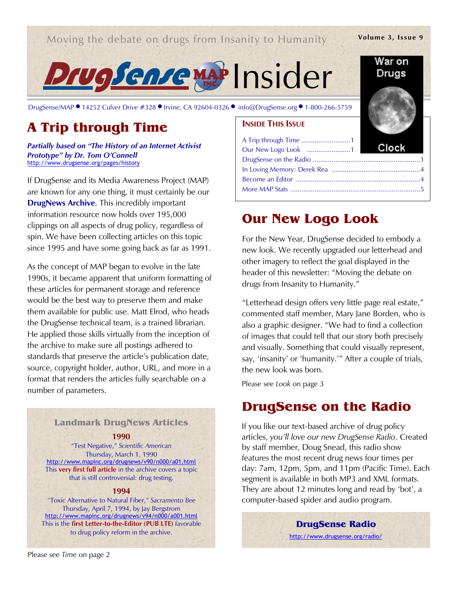### Moving the debate on drugs from Insanity to Humanity

### Volume 3, Issue 9

War on Drugs



DrugSense/MAP ● 14252 Culver Drive #328 ● Irvine, CA 92604-0326 ● info@DrugSense.org ● 1-800-266-5759

# A Trip through Time

Partially based on "The History of an Internet Activist Prototype" by Dr. Tom O'Connell http://www.drugsense.org/pages/history

If DrugSense and its Media Awareness Project (MAP) are known for any one thing, it must certainly be our **DrugNews Archive.** This incredibly important information resource now holds over 195,000 clippings on all aspects of drug policy, regardless of spin. We have been collecting articles on this topic since 1995 and have some going back as far as 1991.

As the concept of MAP began to evolve in the late 1990s, it became apparent that uniform formatting of these articles for permanent storage and reference would be the best way to preserve them and make them available for public use. Matt Elrod, who heads the DrugSense technical team, is a trained librarian. He applied those skills virtually from the inception of the archive to make sure all postings adhered to standards that preserve the article's publication date, source, copyright holder, author, URL, and more in a format that renders the articles fully searchable on a number of parameters.

### Landmark DrugNews Articles

1990

"Test Negative," Scientific American Thursday, March 1, 1990 http://www.mapinc.org/drugnews/v90/n000/a01.html This very first full article in the archive covers a topic that is still controversial: drug testing.

### 1994

"Toxic Alternative to Natural Fiber," Sacramento Bee Thursday, April 7, 1994, by Jay Bergstrom http://www.mapinc.org/drugnews/v94/n000/a001.html This is the first Letter-to-the-Editor (PUB LTE) favorable to drug policy reform in the archive.

# **INSIDE THIS ISSUE**

| A Trip through Time 1 |  |
|-----------------------|--|
|                       |  |
|                       |  |
|                       |  |
|                       |  |
|                       |  |
|                       |  |

## Our New Logo Look

For the New Year, DrugSense decided to embody a new look. We recently upgraded our letterhead and other imagery to reflect the goal displayed in the header of this newsletter: "Moving the debate on drugs from Insanity to Humanity."

"Letterhead design offers very little page real estate," commented staff member, Mary Jane Borden, who is also a graphic designer. "We had to find a collection of images that could tell that our story both precisely and visually. Something that could visually represent, say, 'insanity' or 'humanity.'" After a couple of trials, the new look was born.

Please see Look on page 3

## DrugSense on the Radio

If you like our text-based archive of drug policy articles, you'll love our new DrugSense Radio. Created by staff member, Doug Snead, this radio show features the most recent drug news four times per day: 7am, 12pm, 5pm, and 11pm (Pacific Time). Each segment is available in both MP3 and XML formats. They are about 12 minutes long and read by 'bot', a computer-based spider and audio program.

DrugSense Radio

http://www.drugsense.org/radio/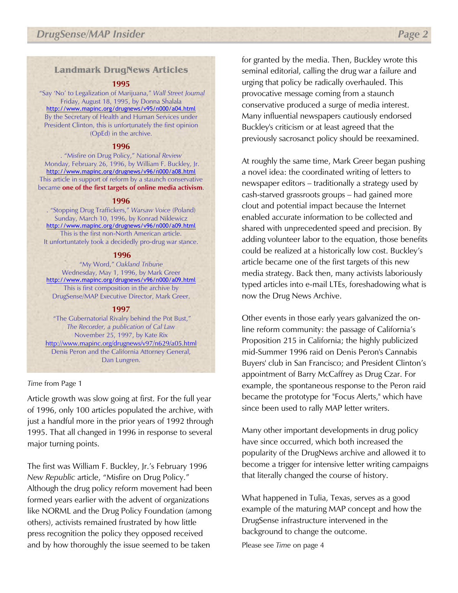### Landmark DrugNews Articles

### 1995

 "Say 'No' to Legalization of Marijuana," Wall Street Journal Friday, August 18, 1995, by Donna Shalala http://www.mapinc.org/drugnews/v95/n000/a04.html By the Secretary of Health and Human Services under President Clinton, this is unfortunately the first opinion (OpEd) in the archive.

### 1996

. "Misfire on Drug Policy," National Review Monday, February 26, 1996, by William F. Buckley, Jr. http://www.mapinc.org/drugnews/v96/n000/a08.html This article in support of reform by a staunch conservative became one of the first targets of online media activism.

### 1996

. "Stopping Drug Traffickers," Warsaw Voice (Poland) Sunday, March 10, 1996, by Konrad Niklewicz http://www.mapinc.org/drugnews/v96/n000/a09.html This is the first non-North American article. It unfortuntately took a decidedly pro-drug war stance.

### 1996

"My Word," Oakland Tribune Wednesday, May 1, 1996, by Mark Greer http://www.mapinc.org/drugnews/v96/n000/a09.html This is first composition in the archive by DrugSense/MAP Executive Director, Mark Greer.

### 1997

 "The Gubernatorial Rivalry behind the Pot Bust," The Recorder, a publication of Cal Law November 25, 1997, by Kate Rix http://www.mapinc.org/drugnews/v97/n629/a05.html Denis Peron and the California Attorney General, Dan Lungren.

### Time from Page 1

Article growth was slow going at first. For the full year of 1996, only 100 articles populated the archive, with just a handful more in the prior years of 1992 through 1995. That all changed in 1996 in response to several major turning points.

The first was William F. Buckley, Jr.'s February 1996 New Republic article, "Misfire on Drug Policy." Although the drug policy reform movement had been formed years earlier with the advent of organizations like NORML and the Drug Policy Foundation (among others), activists remained frustrated by how little press recognition the policy they opposed received and by how thoroughly the issue seemed to be taken

for granted by the media. Then, Buckley wrote this seminal editorial, calling the drug war a failure and urging that policy be radically overhauled. This provocative message coming from a staunch conservative produced a surge of media interest. Many influential newspapers cautiously endorsed Buckley's criticism or at least agreed that the previously sacrosanct policy should be reexamined.

At roughly the same time, Mark Greer began pushing a novel idea: the coordinated writing of letters to newspaper editors – traditionally a strategy used by cash-starved grassroots groups – had gained more clout and potential impact because the Internet enabled accurate information to be collected and shared with unprecedented speed and precision. By adding volunteer labor to the equation, those benefits could be realized at a historically low cost. Buckley's article became one of the first targets of this new media strategy. Back then, many activists laboriously typed articles into e-mail LTEs, foreshadowing what is now the Drug News Archive.

Other events in those early years galvanized the online reform community: the passage of California's Proposition 215 in California; the highly publicized mid-Summer 1996 raid on Denis Peron's Cannabis Buyers' club in San Francisco; and President Clinton's appointment of Barry McCaffrey as Drug Czar. For example, the spontaneous response to the Peron raid became the prototype for "Focus Alerts," which have since been used to rally MAP letter writers.

Many other important developments in drug policy have since occurred, which both increased the popularity of the DrugNews archive and allowed it to become a trigger for intensive letter writing campaigns that literally changed the course of history.

What happened in Tulia, Texas, serves as a good example of the maturing MAP concept and how the DrugSense infrastructure intervened in the background to change the outcome.

Please see Time on page 4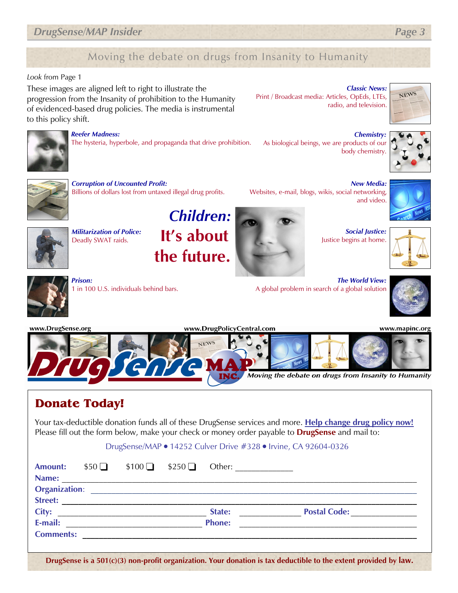### **DrugSense/MAP Insider Page 3**

## Moving the debate on drugs from Insanity to Humanity

### Look from Page 1

These images are aligned left to right to illustrate the progression from the Insanity of prohibition to the Humanity of evidenced-based drug policies. The media is instrumental to this policy shift.

Classic News: Print / Broadcast media: Articles, OpEds, LTEs, radio, and television.





#### Reefer Madness:

The hysteria, hyperbole, and propaganda that drive prohibition.

Chemistry: As biological beings, we are products of our body chemistry.

Websites, e-mail, blogs, wikis, social networking,

A global problem in search of a global solution





### Corruption of Uncounted Profit:

Billions of dollars lost from untaxed illegal drug profits.



Militarization of Police: Deadly SWAT raids.

Children: It's about the future.



Social Justice: Justice begins at home.

The World View:

New Media:

and video.





Prison: 1 in 100 U.S. individuals behind bars.

www.mapinc.org



## Donate Today!

Your tax-deductible donation funds all of these DrugSense services and more. Help change drug policy now! Please fill out the form below, make your check or money order payable to **DrugSense** and mail to:

DrugSense/MAP ● 14252 Culver Drive #328 ● Irvine, CA 92604-0326

| <b>Amount:</b>   |  | $$50$ $$100$ $$250$ Other:                                                                                                                                                                                                     |                                  |  |
|------------------|--|--------------------------------------------------------------------------------------------------------------------------------------------------------------------------------------------------------------------------------|----------------------------------|--|
| Name:            |  |                                                                                                                                                                                                                                |                                  |  |
|                  |  | Organization: New York Changes and Changes and Changes and Changes and Changes and Changes and Changes and Changes and Changes and Changes and Changes and Changes and Changes and Changes and Changes and Changes and Changes |                                  |  |
| <b>Street:</b>   |  |                                                                                                                                                                                                                                |                                  |  |
| City:            |  | State:                                                                                                                                                                                                                         | <b>Postal Code: Compare 2016</b> |  |
| E-mail:          |  | <b>Phone:</b>                                                                                                                                                                                                                  |                                  |  |
| <b>Comments:</b> |  |                                                                                                                                                                                                                                |                                  |  |
|                  |  |                                                                                                                                                                                                                                |                                  |  |

DrugSense is a 501(c)(3) non-profit organization. Your donation is tax deductible to the extent provided by law.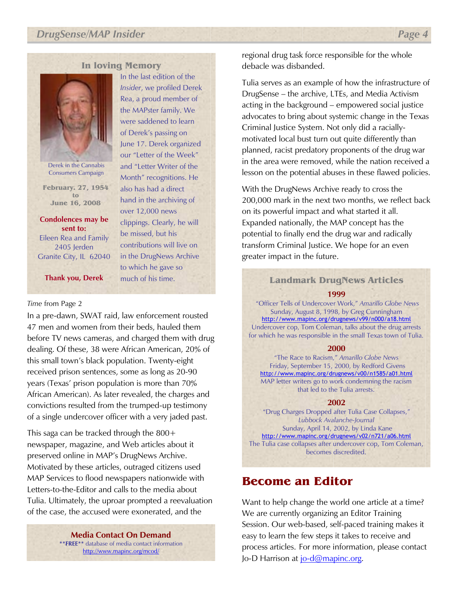### In loving Memory

In the last edition of the Insider, we profiled Derek Rea, a proud member of the MAPster family. We were saddened to learn of Derek's passing on June 17. Derek organized our "Letter of the Week" and "Letter Writer of the Month" recognitions. He also has had a direct hand in the archiving of over 12,000 news

clippings. Clearly, he will

be missed, but his contributions will live on in the DrugNews Archive to which he gave so much of his time.



Derek in the Cannabis Consumers Campaign

February. 27, 1954 to June 16, 2008

Condolences may be sent to: Eileen Rea and Family 2405 Jerden Granite City, IL 62040

Thank you, Derek

### Time from Page 2

 In a pre-dawn, SWAT raid, law enforcement rousted 47 men and women from their beds, hauled them before TV news cameras, and charged them with drug dealing. Of these, 38 were African American, 20% of this small town's black population. Twenty-eight received prison sentences, some as long as 20-90 years (Texas' prison population is more than 70% African American). As later revealed, the charges and convictions resulted from the trumped-up testimony of a single undercover officer with a very jaded past.

This saga can be tracked through the 800+ newspaper, magazine, and Web articles about it preserved online in MAP's DrugNews Archive. Motivated by these articles, outraged citizens used MAP Services to flood newspapers nationwide with Letters-to-the-Editor and calls to the media about Tulia. Ultimately, the uproar prompted a reevaluation of the case, the accused were exonerated, and the

> Media Contact On Demand \*\*FREE\*\* database of media contact information http://www.mapinc.org/mcod/

regional drug task force responsible for the whole debacle was disbanded.

Tulia serves as an example of how the infrastructure of DrugSense – the archive, LTEs, and Media Activism acting in the background – empowered social justice advocates to bring about systemic change in the Texas Criminal Justice System. Not only did a raciallymotivated local bust turn out quite differently than planned, racist predatory proponents of the drug war in the area were removed, while the nation received a lesson on the potential abuses in these flawed policies.

With the DrugNews Archive ready to cross the 200,000 mark in the next two months, we reflect back on its powerful impact and what started it all. Expanded nationally, the MAP concept has the potential to finally end the drug war and radically transform Criminal Justice. We hope for an even greater impact in the future.

## Landmark DrugNews Articles

#### 1999

 "Officer Tells of Undercover Work," Amarillo Globe News Sunday, August 8, 1998, by Greg Cunningham http://www.mapinc.org/drugnews/v99/n000/a18.html Undercover cop, Tom Coleman, talks about the drug arrests for which he was responsible in the small Texas town of Tulia.

#### 2000

"The Race to Racism," Amarillo Globe News Friday, September 15, 2000, by Redford Givens http://www.mapinc.org/drugnews/v00/n1585/a01.html MAP letter writers go to work condemning the racism that led to the Tulia arrests.

### 2002

"Drug Charges Dropped after Tulia Case Collapses," Lubbock Avalanche-Journal Sunday, April 14, 2002, by Linda Kane http://www.mapinc.org/drugnews/v02/n721/a06.html The Tulia case collapses after undercover cop, Tom Coleman, becomes discredited.

### Become an Editor

Want to help change the world one article at a time? We are currently organizing an Editor Training Session. Our web-based, self-paced training makes it easy to learn the few steps it takes to receive and process articles. For more information, please contact Jo-D Harrison at jo-d@mapinc.org.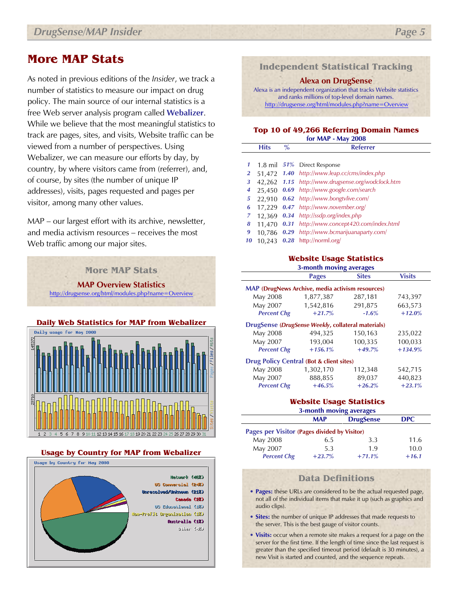## More MAP Stats

As noted in previous editions of the Insider, we track a number of statistics to measure our impact on drug policy. The main source of our internal statistics is a free Web server analysis program called **Webalizer**. While we believe that the most meaningful statistics to track are pages, sites, and visits, Website traffic can be viewed from a number of perspectives. Using Webalizer, we can measure our efforts by day, by country, by where visitors came from (referrer), and, of course, by sites (the number of unique IP addresses), visits, pages requested and pages per visitor, among many other values.

MAP – our largest effort with its archive, newsletter, and media activism resources – receives the most Web traffic among our major sites.





### Usage by Country for MAP from Webalizer



Independent Statistical Tracking

Alexa on DrugSense

Alexa is an independent organization that tracks Website statistics and ranks millions of top-level domain names. http://drugsense.org/html/modules.php?name=Overview

### Top 10 of 49,266 Referring Domain Names for MAP - May 2008

|                | <b>Hits</b> | $\frac{0}{0}$ | <b>Referrer</b>                                   |
|----------------|-------------|---------------|---------------------------------------------------|
|                |             |               |                                                   |
| 1              |             |               | 1.8 mil 51% Direct Response                       |
| $\overline{2}$ |             |               | 51,472 1.40 http://www.leap.cc/cms/index.php      |
| 3              |             |               | 42,262 1.15 http://www.drugsense.org/wodclock.htm |
| 4              | 25,450      |               | 0.69 http://www.google.com/search                 |
| 5              | 22.910      |               | 0.62 http://www.bongtvlive.com/                   |
| 6              |             |               | 17,229 0.47 http://www.november.org/              |
| 7              | 12.369      |               | 0.34 http://ssdp.org/index.php                    |
| 8              | 11,470      |               | 0.31 http://www.concept420.com/index.html         |
| 9              |             |               | 10.786 0.29 http://www.bcmarijuanaparty.com/      |
| 10             | 10.243      | $\bm{0.28}$   | http://norml.org/                                 |

### Website Usage Statistics

### 3-month moving averages Pages Sites Visits

| <b>MAP</b> (DrugNews Archive, media activism resources) |           |          |           |  |  |
|---------------------------------------------------------|-----------|----------|-----------|--|--|
| May 2008                                                | 1,877,387 | 287,181  | 743,397   |  |  |
| May 2007                                                | 1,542,816 | 291,875  | 663,573   |  |  |
| <b>Percent Chg</b>                                      | $+21.7%$  | $-1.6%$  | $+12.0%$  |  |  |
| DrugSense (DrugSense Weekly, collateral materials)      |           |          |           |  |  |
| May 2008                                                | 494,325   | 150,163  | 235,022   |  |  |
| May 2007                                                | 193,004   | 100,335  | 100,033   |  |  |
| <b>Percent Chg</b>                                      | $+156.1%$ | $+49.7%$ | $+134.9%$ |  |  |
| <b>Drug Policy Central (Bot &amp; client sites)</b>     |           |          |           |  |  |
| May 2008                                                | 1,302,170 | 112,348  | 542,715   |  |  |
| May 2007                                                | 888,855   | 89,037   | 440,823   |  |  |
| <b>Percent Chg</b>                                      | $+46.5%$  | $+26.2%$ | $+23.1%$  |  |  |
|                                                         |           |          |           |  |  |

### Website Usage Statistics

| 3-month moving averages                      |            |                  |            |  |  |
|----------------------------------------------|------------|------------------|------------|--|--|
|                                              | <b>MAP</b> | <b>DrugSense</b> | <b>DPC</b> |  |  |
| Pages per Visitor (Pages divided by Visitor) |            |                  |            |  |  |
| May 2008                                     | 6.5        | 3.3              | 11.6       |  |  |
| May 2007                                     | 5.3        | 1.9              | 10.0       |  |  |
| <b>Percent Chg</b>                           | $+23.7%$   | $+71.1%$         | $+16.1$    |  |  |

### Data Definitions

- Pages: these URLs are considered to be the actual requested page, not all of the individual items that make it up (such as graphics and audio clips).
- Sites: the number of unique IP addresses that made requests to the server. This is the best gauge of visitor counts.
- Visits: occur when a remote site makes a request for a page on the server for the first time. If the length of time since the last request is greater than the specified timeout period (default is 30 minutes), a new Visit is started and counted, and the sequence repeats.